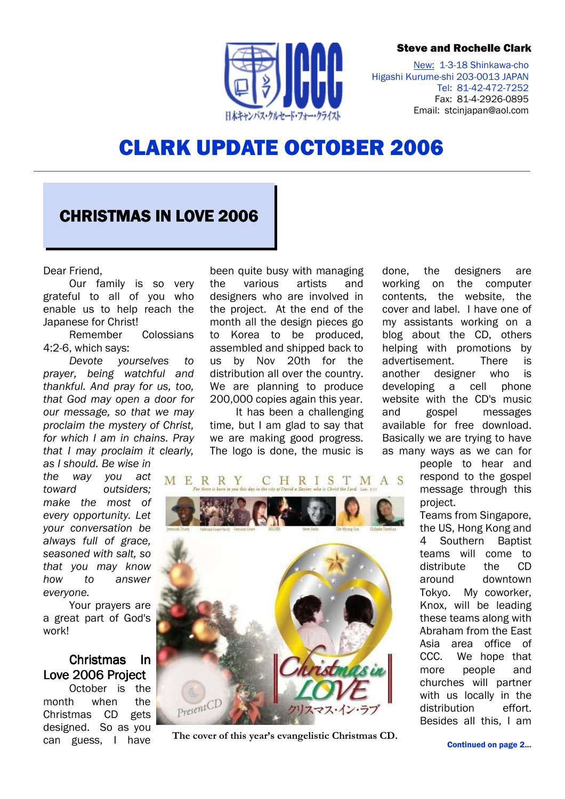#### Steve and Rochelle Clark



New: 1-3-18 Shinkawa-cho Higashi Kurume-shi 203-0013 JAPAN Tel: 81-42-472-7252 Fax: 81-4-2926-0895 Email: stcinjapan@aol.com

# CLARK UPDATE OCTOBER 2006

## CHRISTMAS IN LOVE 2006

Dear Friend,

Our family is so very grateful to all of you who enable us to help reach the Japanese for Christ!

Remember Colossians 4:2-6, which says:

Devote yourselves to prayer, being watchful and thankful. And pray for us, too, that God may open a door for our message, so that we may proclaim the mystery of Christ, for which I am in chains. Pray that I may proclaim it clearly, as I should. Be wise in

the way you act toward outsiders; make the most of every opportunity. Let your conversation be always full of grace, seasoned with salt, so that you may know how to answer everyone.

Your prayers are a great part of God's work!

### Christmas In Love 2006 Project

October is the month when the Christmas CD gets designed. So as you can guess, I have

been quite busy with managing the various artists and designers who are involved in the project. At the end of the month all the design pieces go to Korea to be produced, assembled and shipped back to us by Nov 20th for the distribution all over the country. We are planning to produce 200,000 copies again this year.

It has been a challenging time, but I am glad to say that we are making good progress. The logo is done, the music is

done, the designers are working on the computer contents, the website, the cover and label. I have one of my assistants working on a blog about the CD, others helping with promotions by advertisement. There is another designer who is developing a cell phone website with the CD's music and gospel messages available for free download. Basically we are trying to have as many ways as we can for

> people to hear and respond to the gospel message through this project.

Teams from Singapore, the US, Hong Kong and 4 Southern Baptist teams will come to distribute the CD around downtown Tokyo. My coworker, Knox, will be leading these teams along with Abraham from the East Asia area office of CCC. We hope that more people and churches will partner with us locally in the distribution effort. Besides all this, I am



The cover of this year's evangelistic Christmas CD.